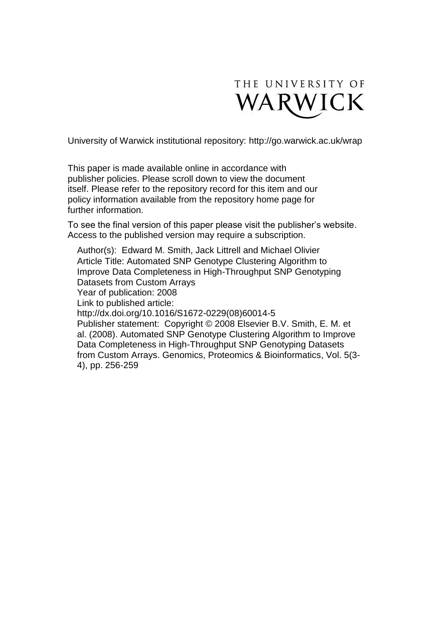

University of Warwick institutional repository:<http://go.warwick.ac.uk/wrap>

This paper is made available online in accordance with publisher policies. Please scroll down to view the document itself. Please refer to the repository record for this item and our policy information available from the repository home page for further information.

To see the final version of this paper please visit the publisher's website. Access to the published version may require a subscription.

Author(s): Edward M. Smith, Jack Littrell and Michael Olivier Article Title: Automated SNP Genotype Clustering Algorithm to Improve Data Completeness in High-Throughput SNP Genotyping Datasets from Custom Arrays Year of publication: 2008 Link to published article: http://dx.doi.org/10.1016/S1672-0229(08)60014-5 Publisher statement: Copyright © 2008 [Elsevier B.V.](http://www.elsevier.com/) Smith, E. M. et al. (2008). Automated SNP Genotype Clustering Algorithm to Improve Data Completeness in High-Throughput SNP Genotyping Datasets from Custom Arrays. [Genomics, Proteomics & Bioinformatics,](http://www.sciencedirect.com/science/journal/16720229) Vol. 5(3- 4), pp. 256-259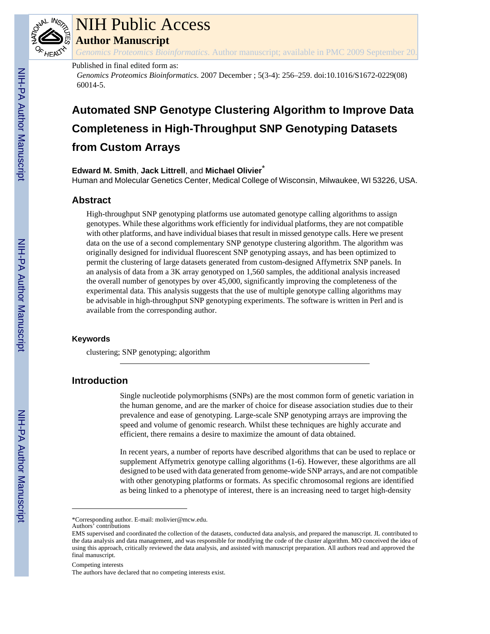

# NIH Public Access

**Author Manuscript**

*Genomics Proteomics Bioinformatics*. Author manuscript; available in PMC 2009 September 20.

#### Published in final edited form as:

*Genomics Proteomics Bioinformatics*. 2007 December ; 5(3-4): 256–259. doi:10.1016/S1672-0229(08) 60014-5.

# **Automated SNP Genotype Clustering Algorithm to Improve Data Completeness in High-Throughput SNP Genotyping Datasets from Custom Arrays**

#### **Edward M. Smith**, **Jack Littrell**, and **Michael Olivier**\*

Human and Molecular Genetics Center, Medical College of Wisconsin, Milwaukee, WI 53226, USA.

# **Abstract**

High-throughput SNP genotyping platforms use automated genotype calling algorithms to assign genotypes. While these algorithms work efficiently for individual platforms, they are not compatible with other platforms, and have individual biases that result in missed genotype calls. Here we present data on the use of a second complementary SNP genotype clustering algorithm. The algorithm was originally designed for individual fluorescent SNP genotyping assays, and has been optimized to permit the clustering of large datasets generated from custom-designed Affymetrix SNP panels. In an analysis of data from a 3K array genotyped on 1,560 samples, the additional analysis increased the overall number of genotypes by over 45,000, significantly improving the completeness of the experimental data. This analysis suggests that the use of multiple genotype calling algorithms may be advisable in high-throughput SNP genotyping experiments. The software is written in Perl and is available from the corresponding author.

#### **Keywords**

clustering; SNP genotyping; algorithm

# **Introduction**

Single nucleotide polymorphisms (SNPs) are the most common form of genetic variation in the human genome, and are the marker of choice for disease association studies due to their prevalence and ease of genotyping. Large-scale SNP genotyping arrays are improving the speed and volume of genomic research. Whilst these techniques are highly accurate and efficient, there remains a desire to maximize the amount of data obtained.

In recent years, a number of reports have described algorithms that can be used to replace or supplement Affymetrix genotype calling algorithms (1-6). However, these algorithms are all designed to be used with data generated from genome-wide SNP arrays, and are not compatible with other genotyping platforms or formats. As specific chromosomal regions are identified as being linked to a phenotype of interest, there is an increasing need to target high-density

<sup>\*</sup>Corresponding author. E-mail: molivier@mcw.edu.

Authors' contributions

EMS supervised and coordinated the collection of the datasets, conducted data analysis, and prepared the manuscript. JL contributed to the data analysis and data management, and was responsible for modifying the code of the cluster algorithm. MO conceived the idea of using this approach, critically reviewed the data analysis, and assisted with manuscript preparation. All authors read and approved the final manuscript.

Competing interests

The authors have declared that no competing interests exist.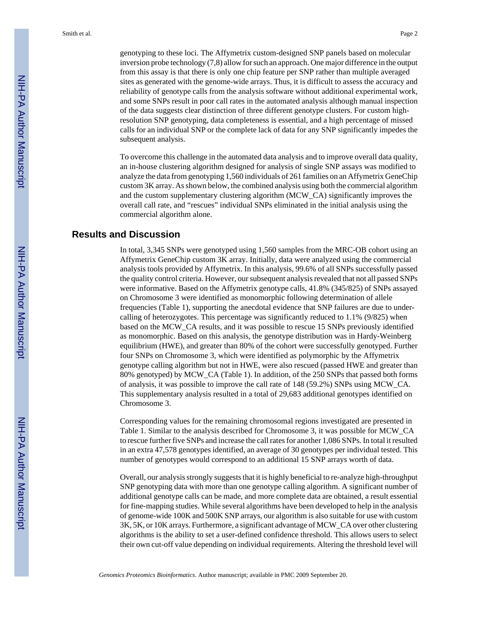genotyping to these loci. The Affymetrix custom-designed SNP panels based on molecular inversion probe technology (7,8) allow for such an approach. One major difference in the output from this assay is that there is only one chip feature per SNP rather than multiple averaged sites as generated with the genome-wide arrays. Thus, it is difficult to assess the accuracy and reliability of genotype calls from the analysis software without additional experimental work, and some SNPs result in poor call rates in the automated analysis although manual inspection of the data suggests clear distinction of three different genotype clusters. For custom highresolution SNP genotyping, data completeness is essential, and a high percentage of missed calls for an individual SNP or the complete lack of data for any SNP significantly impedes the subsequent analysis.

To overcome this challenge in the automated data analysis and to improve overall data quality, an in-house clustering algorithm designed for analysis of single SNP assays was modified to analyze the data from genotyping 1,560 individuals of 261 families on an Affymetrix GeneChip custom 3K array. As shown below, the combined analysis using both the commercial algorithm and the custom supplementary clustering algorithm (MCW\_CA) significantly improves the overall call rate, and "rescues" individual SNPs eliminated in the initial analysis using the commercial algorithm alone.

# **Results and Discussion**

In total, 3,345 SNPs were genotyped using 1,560 samples from the MRC-OB cohort using an Affymetrix GeneChip custom 3K array. Initially, data were analyzed using the commercial analysis tools provided by Affymetrix. In this analysis, 99.6% of all SNPs successfully passed the quality control criteria. However, our subsequent analysis revealed that not all passed SNPs were informative. Based on the Affymetrix genotype calls, 41.8% (345/825) of SNPs assayed on Chromosome 3 were identified as monomorphic following determination of allele frequencies (Table 1), supporting the anecdotal evidence that SNP failures are due to undercalling of heterozygotes. This percentage was significantly reduced to 1.1% (9/825) when based on the MCW\_CA results, and it was possible to rescue 15 SNPs previously identified as monomorphic. Based on this analysis, the genotype distribution was in Hardy-Weinberg equilibrium (HWE), and greater than 80% of the cohort were successfully genotyped. Further four SNPs on Chromosome 3, which were identified as polymorphic by the Affymetrix genotype calling algorithm but not in HWE, were also rescued (passed HWE and greater than 80% genotyped) by MCW\_CA (Table 1). In addition, of the 250 SNPs that passed both forms of analysis, it was possible to improve the call rate of 148 (59.2%) SNPs using MCW\_CA. This supplementary analysis resulted in a total of 29,683 additional genotypes identified on Chromosome 3.

Corresponding values for the remaining chromosomal regions investigated are presented in Table 1. Similar to the analysis described for Chromosome 3, it was possible for MCW\_CA to rescue further five SNPs and increase the call rates for another 1,086 SNPs. In total it resulted in an extra 47,578 genotypes identified, an average of 30 genotypes per individual tested. This number of genotypes would correspond to an additional 15 SNP arrays worth of data.

Overall, our analysis strongly suggests that it is highly beneficial to re-analyze high-throughput SNP genotyping data with more than one genotype calling algorithm. A significant number of additional genotype calls can be made, and more complete data are obtained, a result essential for fine-mapping studies. While several algorithms have been developed to help in the analysis of genome-wide 100K and 500K SNP arrays, our algorithm is also suitable for use with custom 3K, 5K, or 10K arrays. Furthermore, a significant advantage of MCW\_CA over other clustering algorithms is the ability to set a user-defined confidence threshold. This allows users to select their own cut-off value depending on individual requirements. Altering the threshold level will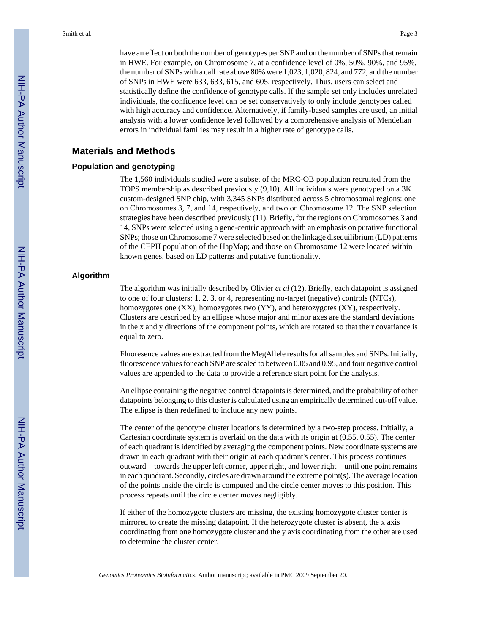have an effect on both the number of genotypes per SNP and on the number of SNPs that remain in HWE. For example, on Chromosome 7, at a confidence level of 0%, 50%, 90%, and 95%, the number of SNPs with a call rate above 80% were 1,023, 1,020, 824, and 772, and the number of SNPs in HWE were 633, 633, 615, and 605, respectively. Thus, users can select and statistically define the confidence of genotype calls. If the sample set only includes unrelated individuals, the confidence level can be set conservatively to only include genotypes called with high accuracy and confidence. Alternatively, if family-based samples are used, an initial analysis with a lower confidence level followed by a comprehensive analysis of Mendelian errors in individual families may result in a higher rate of genotype calls.

# **Materials and Methods**

#### **Population and genotyping**

The 1,560 individuals studied were a subset of the MRC-OB population recruited from the TOPS membership as described previously (9,10). All individuals were genotyped on a 3K custom-designed SNP chip, with 3,345 SNPs distributed across 5 chromosomal regions: one on Chromosomes 3, 7, and 14, respectively, and two on Chromosome 12. The SNP selection strategies have been described previously (11). Briefly, for the regions on Chromosomes 3 and 14, SNPs were selected using a gene-centric approach with an emphasis on putative functional SNPs; those on Chromosome 7 were selected based on the linkage disequilibrium (LD) patterns of the CEPH population of the HapMap; and those on Chromosome 12 were located within known genes, based on LD patterns and putative functionality.

# **Algorithm**

The algorithm was initially described by Olivier *et al* (12). Briefly, each datapoint is assigned to one of four clusters: 1, 2, 3, or 4, representing no-target (negative) controls (NTCs), homozygotes one (XX), homozygotes two (YY), and heterozygotes (XY), respectively. Clusters are described by an ellipse whose major and minor axes are the standard deviations in the x and y directions of the component points, which are rotated so that their covariance is equal to zero.

Fluoresence values are extracted from the MegAllele results for all samples and SNPs. Initially, fluorescence values for each SNP are scaled to between 0.05 and 0.95, and four negative control values are appended to the data to provide a reference start point for the analysis.

An ellipse containing the negative control datapoints is determined, and the probability of other datapoints belonging to this cluster is calculated using an empirically determined cut-off value. The ellipse is then redefined to include any new points.

The center of the genotype cluster locations is determined by a two-step process. Initially, a Cartesian coordinate system is overlaid on the data with its origin at (0.55, 0.55). The center of each quadrant is identified by averaging the component points. New coordinate systems are drawn in each quadrant with their origin at each quadrant's center. This process continues outward—towards the upper left corner, upper right, and lower right—until one point remains in each quadrant. Secondly, circles are drawn around the extreme point(s). The average location of the points inside the circle is computed and the circle center moves to this position. This process repeats until the circle center moves negligibly.

If either of the homozygote clusters are missing, the existing homozygote cluster center is mirrored to create the missing datapoint. If the heterozygote cluster is absent, the x axis coordinating from one homozygote cluster and the y axis coordinating from the other are used to determine the cluster center.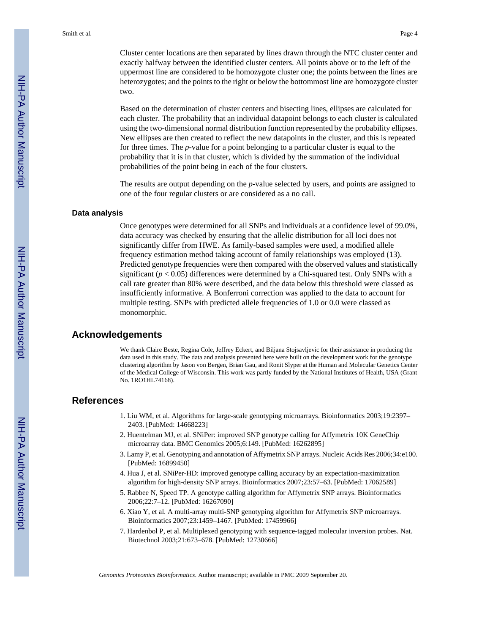Cluster center locations are then separated by lines drawn through the NTC cluster center and exactly halfway between the identified cluster centers. All points above or to the left of the uppermost line are considered to be homozygote cluster one; the points between the lines are heterozygotes; and the points to the right or below the bottommost line are homozygote cluster two.

Based on the determination of cluster centers and bisecting lines, ellipses are calculated for each cluster. The probability that an individual datapoint belongs to each cluster is calculated using the two-dimensional normal distribution function represented by the probability ellipses. New ellipses are then created to reflect the new datapoints in the cluster, and this is repeated for three times. The *p*-value for a point belonging to a particular cluster is equal to the probability that it is in that cluster, which is divided by the summation of the individual probabilities of the point being in each of the four clusters.

The results are output depending on the *p*-value selected by users, and points are assigned to one of the four regular clusters or are considered as a no call.

#### **Data analysis**

Once genotypes were determined for all SNPs and individuals at a confidence level of 99.0%, data accuracy was checked by ensuring that the allelic distribution for all loci does not significantly differ from HWE. As family-based samples were used, a modified allele frequency estimation method taking account of family relationships was employed (13). Predicted genotype frequencies were then compared with the observed values and statistically significant ( $p < 0.05$ ) differences were determined by a Chi-squared test. Only SNPs with a call rate greater than 80% were described, and the data below this threshold were classed as insufficiently informative. A Bonferroni correction was applied to the data to account for multiple testing. SNPs with predicted allele frequencies of 1.0 or 0.0 were classed as monomorphic.

### **Acknowledgements**

We thank Claire Beste, Regina Cole, Jeffrey Eckert, and Biljana Stojsavljevic for their assistance in producing the data used in this study. The data and analysis presented here were built on the development work for the genotype clustering algorithm by Jason von Bergen, Brian Gau, and Ronit Slyper at the Human and Molecular Genetics Center of the Medical College of Wisconsin. This work was partly funded by the National Institutes of Health, USA (Grant No. 1RO1HL74168).

## **References**

- 1. Liu WM, et al. Algorithms for large-scale genotyping microarrays. Bioinformatics 2003;19:2397– 2403. [PubMed: 14668223]
- 2. Huentelman MJ, et al. SNiPer: improved SNP genotype calling for Affymetrix 10K GeneChip microarray data. BMC Genomics 2005;6:149. [PubMed: 16262895]
- 3. Lamy P, et al. Genotyping and annotation of Affymetrix SNP arrays. Nucleic Acids Res 2006;34:e100. [PubMed: 16899450]
- 4. Hua J, et al. SNiPer-HD: improved genotype calling accuracy by an expectation-maximization algorithm for high-density SNP arrays. Bioinformatics 2007;23:57–63. [PubMed: 17062589]
- 5. Rabbee N, Speed TP. A genotype calling algorithm for Affymetrix SNP arrays. Bioinformatics 2006;22:7–12. [PubMed: 16267090]
- 6. Xiao Y, et al. A multi-array multi-SNP genotyping algorithm for Affymetrix SNP microarrays. Bioinformatics 2007;23:1459–1467. [PubMed: 17459966]
- 7. Hardenbol P, et al. Multiplexed genotyping with sequence-tagged molecular inversion probes. Nat. Biotechnol 2003;21:673–678. [PubMed: 12730666]

*Genomics Proteomics Bioinformatics*. Author manuscript; available in PMC 2009 September 20.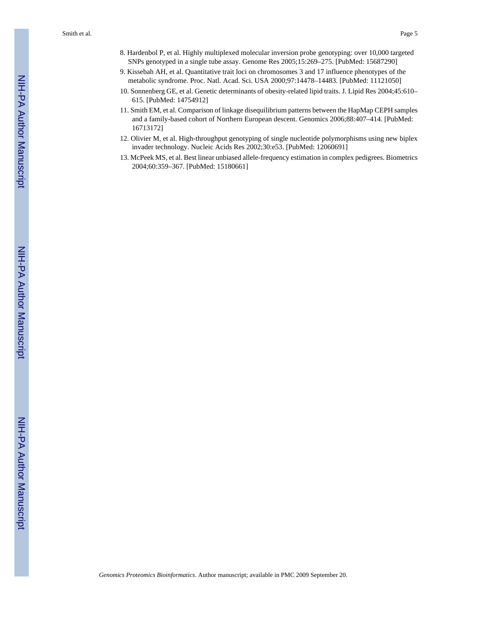- 8. Hardenbol P, et al. Highly multiplexed molecular inversion probe genotyping: over 10,000 targeted SNPs genotyped in a single tube assay. Genome Res 2005;15:269–275. [PubMed: 15687290]
- 9. Kissebah AH, et al. Quantitative trait loci on chromosomes 3 and 17 influence phenotypes of the metabolic syndrome. Proc. Natl. Acad. Sci. USA 2000;97:14478–14483. [PubMed: 11121050]
- 10. Sonnenberg GE, et al. Genetic determinants of obesity-related lipid traits. J. Lipid Res 2004;45:610– 615. [PubMed: 14754912]
- 11. Smith EM, et al. Comparison of linkage disequilibrium patterns between the HapMap CEPH samples and a family-based cohort of Northern European descent. Genomics 2006;88:407–414. [PubMed: 16713172]
- 12. Olivier M, et al. High-throughput genotyping of single nucleotide polymorphisms using new biplex invader technology. Nucleic Acids Res 2002;30:e53. [PubMed: 12060691]
- 13. McPeek MS, et al. Best linear unbiased allele-frequency estimation in complex pedigrees. Biometrics 2004;60:359–367. [PubMed: 15180661]